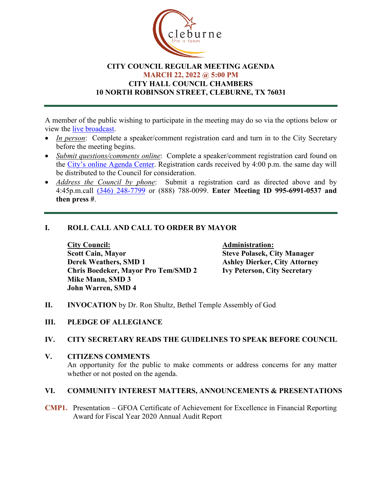

# **CITY COUNCIL REGULAR MEETING AGENDA MARCH 22, 2022 @ 5:00 PM CITY HALL COUNCIL CHAMBERS 10 NORTH ROBINSON STREET, CLEBURNE, TX 76031**

A member of the public wishing to participate in the meeting may do so via the options below or view the [live broadcast.](http://www.cleburne.net/925/Cleburne-Live)

- *In person*: Complete a speaker/comment registration card and turn in to the City Secretary before the meeting begins.
- *Submit questions/comments online*: Complete a speaker/comment registration card found on the [City's online Agenda Center.](https://www.cleburne.net/agendacenter) Registration cards received by 4:00 p.m. the same day will be distributed to the Council for consideration.
- *Address the Council by phone*: Submit a registration card as directed above and by 4:45p.m.call [\(346\) 248-7799](tel:+13127573117,,477307821) or (888) 788-0099. **Enter Meeting ID 995-6991-0537 and then press #**.

# **I. ROLL CALL AND CALL TO ORDER BY MAYOR**

**City Council: Administration: Scott Cain, Mayor Steve Polasek, City Manager Derek Weathers, SMD 1 Ashley Dierker, City Attorney Chris Boedeker, Mayor Pro Tem/SMD 2 Mike Mann, SMD 3 John Warren, SMD 4**

- **II. INVOCATION** by Dr. Ron Shultz, Bethel Temple Assembly of God
- **III. PLEDGE OF ALLEGIANCE**

#### **IV. CITY SECRETARY READS THE GUIDELINES TO SPEAK BEFORE COUNCIL**

**V. CITIZENS COMMENTS**

An opportunity for the public to make comments or address concerns for any matter whether or not posted on the agenda.

#### **VI. COMMUNITY INTEREST MATTERS, ANNOUNCEMENTS & PRESENTATIONS**

**CMP1.** Presentation – GFOA Certificate of Achievement for Excellence in Financial Reporting Award for Fiscal Year 2020 Annual Audit Report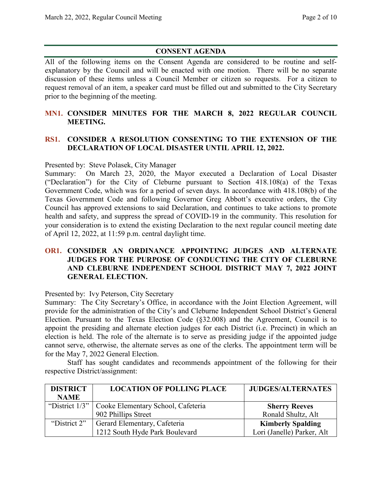# **CONSENT AGENDA**

All of the following items on the Consent Agenda are considered to be routine and selfexplanatory by the Council and will be enacted with one motion. There will be no separate discussion of these items unless a Council Member or citizen so requests. For a citizen to request removal of an item, a speaker card must be filled out and submitted to the City Secretary prior to the beginning of the meeting.

# **MN1. CONSIDER MINUTES FOR THE MARCH 8, 2022 REGULAR COUNCIL MEETING.**

# **RS1. CONSIDER A RESOLUTION CONSENTING TO THE EXTENSION OF THE DECLARATION OF LOCAL DISASTER UNTIL APRIL 12, 2022.**

Presented by: Steve Polasek, City Manager

Summary: On March 23, 2020, the Mayor executed a Declaration of Local Disaster ("Declaration") for the City of Cleburne pursuant to Section 418.108(a) of the Texas Government Code, which was for a period of seven days. In accordance with 418.108(b) of the Texas Government Code and following Governor Greg Abbott's executive orders, the City Council has approved extensions to said Declaration, and continues to take actions to promote health and safety, and suppress the spread of COVID-19 in the community. This resolution for your consideration is to extend the existing Declaration to the next regular council meeting date of April 12, 2022, at 11:59 p.m. central daylight time.

# **OR1. CONSIDER AN ORDINANCE APPOINTING JUDGES AND ALTERNATE JUDGES FOR THE PURPOSE OF CONDUCTING THE CITY OF CLEBURNE AND CLEBURNE INDEPENDENT SCHOOL DISTRICT MAY 7, 2022 JOINT GENERAL ELECTION.**

Presented by: Ivy Peterson, City Secretary

Summary: The City Secretary's Office, in accordance with the Joint Election Agreement, will provide for the administration of the City's and Cleburne Independent School District's General Election. Pursuant to the Texas Election Code (§32.008) and the Agreement, Council is to appoint the presiding and alternate election judges for each District (i.e. Precinct) in which an election is held. The role of the alternate is to serve as presiding judge if the appointed judge cannot serve, otherwise, the alternate serves as one of the clerks. The appointment term will be for the May 7, 2022 General Election.

Staff has sought candidates and recommends appointment of the following for their respective District/assignment:

| <b>DISTRICT</b> | <b>LOCATION OF POLLING PLACE</b>                    | <b>JUDGES/ALTERNATES</b>   |
|-----------------|-----------------------------------------------------|----------------------------|
| <b>NAME</b>     |                                                     |                            |
|                 | "District 1/3"   Cooke Elementary School, Cafeteria | <b>Sherry Reeves</b>       |
|                 | 902 Phillips Street                                 | Ronald Shultz, Alt         |
| "District 2"    | Gerard Elementary, Cafeteria                        | <b>Kimberly Spalding</b>   |
|                 | 1212 South Hyde Park Boulevard                      | Lori (Janelle) Parker, Alt |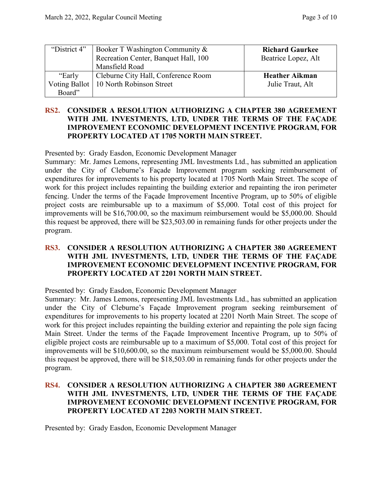| "District 4" | Booker T Washington Community &          | <b>Richard Gaurkee</b> |
|--------------|------------------------------------------|------------------------|
|              | Recreation Center, Banquet Hall, 100     | Beatrice Lopez, Alt    |
|              | Mansfield Road                           |                        |
|              |                                          |                        |
| "Early       | Cleburne City Hall, Conference Room      | <b>Heather Aikman</b>  |
|              | Voting Ballot   10 North Robinson Street | Julie Traut, Alt       |

### **RS2. CONSIDER A RESOLUTION AUTHORIZING A CHAPTER 380 AGREEMENT WITH JML INVESTMENTS, LTD, UNDER THE TERMS OF THE FAÇADE IMPROVEMENT ECONOMIC DEVELOPMENT INCENTIVE PROGRAM, FOR PROPERTY LOCATED AT 1705 NORTH MAIN STREET.**

Presented by: Grady Easdon, Economic Development Manager

Summary: Mr. James Lemons, representing JML Investments Ltd., has submitted an application under the City of Cleburne's Façade Improvement program seeking reimbursement of expenditures for improvements to his property located at 1705 North Main Street. The scope of work for this project includes repainting the building exterior and repainting the iron perimeter fencing. Under the terms of the Façade Improvement Incentive Program, up to 50% of eligible project costs are reimbursable up to a maximum of \$5,000. Total cost of this project for improvements will be \$16,700.00, so the maximum reimbursement would be \$5,000.00. Should this request be approved, there will be \$23,503.00 in remaining funds for other projects under the program.

### **RS3. CONSIDER A RESOLUTION AUTHORIZING A CHAPTER 380 AGREEMENT WITH JML INVESTMENTS, LTD, UNDER THE TERMS OF THE FAÇADE IMPROVEMENT ECONOMIC DEVELOPMENT INCENTIVE PROGRAM, FOR PROPERTY LOCATED AT 2201 NORTH MAIN STREET.**

Presented by: Grady Easdon, Economic Development Manager

Summary: Mr. James Lemons, representing JML Investments Ltd., has submitted an application under the City of Cleburne's Façade Improvement program seeking reimbursement of expenditures for improvements to his property located at 2201 North Main Street. The scope of work for this project includes repainting the building exterior and repainting the pole sign facing Main Street. Under the terms of the Façade Improvement Incentive Program, up to 50% of eligible project costs are reimbursable up to a maximum of \$5,000. Total cost of this project for improvements will be \$10,600.00, so the maximum reimbursement would be \$5,000.00. Should this request be approved, there will be \$18,503.00 in remaining funds for other projects under the program.

### **RS4. CONSIDER A RESOLUTION AUTHORIZING A CHAPTER 380 AGREEMENT WITH JML INVESTMENTS, LTD, UNDER THE TERMS OF THE FAÇADE IMPROVEMENT ECONOMIC DEVELOPMENT INCENTIVE PROGRAM, FOR PROPERTY LOCATED AT 2203 NORTH MAIN STREET.**

Presented by: Grady Easdon, Economic Development Manager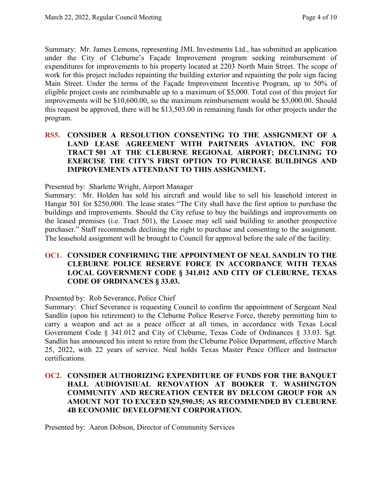Summary: Mr. James Lemons, representing JML Investments Ltd., has submitted an application under the City of Cleburne's Façade Improvement program seeking reimbursement of expenditures for improvements to his property located at 2203 North Main Street. The scope of work for this project includes repainting the building exterior and repainting the pole sign facing Main Street. Under the terms of the Façade Improvement Incentive Program, up to 50% of eligible project costs are reimbursable up to a maximum of \$5,000. Total cost of this project for improvements will be \$10,600.00, so the maximum reimbursement would be \$5,000.00. Should this request be approved, there will be \$13,503.00 in remaining funds for other projects under the program.

### **RS5. CONSIDER A RESOLUTION CONSENTING TO THE ASSIGNMENT OF A LAND LEASE AGREEMENT WITH PARTNERS AVIATION, INC FOR TRACT 501 AT THE CLEBURNE REGIONAL AIRPORT; DECLINING TO EXERCISE THE CITY'S FIRST OPTION TO PURCHASE BUILDINGS AND IMPROVEMENTS ATTENDANT TO THIS ASSIGNMENT.**

Presented by: Sharlette Wright, Airport Manager

Summary: Mr. Holden has sold his aircraft and would like to sell his leasehold interest in Hangar 501 for \$250,000. The lease states "The City shall have the first option to purchase the buildings and improvements. Should the City refuse to buy the buildings and improvements on the leased premises (i.e. Tract 501), the Lessee may sell said building to another prospective purchaser." Staff recommends declining the right to purchase and consenting to the assignment. The leasehold assignment will be brought to Council for approval before the sale of the facility.

# **OC1. CONSIDER CONFIRMING THE APPOINTMENT OF NEAL SANDLIN TO THE CLEBURNE POLICE RESERVE FORCE IN ACCORDANCE WITH TEXAS LOCAL GOVERNMENT CODE § 341.012 AND CITY OF CLEBURNE, TEXAS CODE OF ORDINANCES § 33.03.**

Presented by: Rob Severance, Police Chief

Summary: Chief Severance is requesting Council to confirm the appointment of Sergeant Neal Sandlin (upon his retirement) to the Cleburne Police Reserve Force, thereby permitting him to carry a weapon and act as a peace officer at all times, in accordance with Texas Local Government Code § 341.012 and City of Cleburne, Texas Code of Ordinances § 33.03. Sgt. Sandlin has announced his intent to retire from the Cleburne Police Department, effective March 25, 2022, with 22 years of service. Neal holds Texas Master Peace Officer and Instructor certifications.

# **OC2. CONSIDER AUTHORIZING EXPENDITURE OF FUNDS FOR THE BANQUET HALL AUDIOVISIUAL RENOVATION AT BOOKER T. WASHINGTON COMMUNITY AND RECREATION CENTER BY DELCOM GROUP FOR AN AMOUNT NOT TO EXCEED \$29,590.35; AS RECOMMENDED BY CLEBURNE 4B ECONOMIC DEVELOPMENT CORPORATION.**

Presented by: Aaron Dobson, Director of Community Services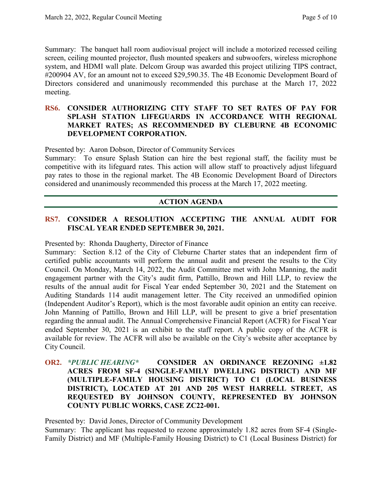Summary: The banquet hall room audiovisual project will include a motorized recessed ceiling screen, ceiling mounted projector, flush mounted speakers and subwoofers, wireless microphone system, and HDMI wall plate. Delcom Group was awarded this project utilizing TIPS contract, #200904 AV, for an amount not to exceed \$29,590.35. The 4B Economic Development Board of Directors considered and unanimously recommended this purchase at the March 17, 2022 meeting.

### **RS6. CONSIDER AUTHORIZING CITY STAFF TO SET RATES OF PAY FOR SPLASH STATION LIFEGUARDS IN ACCORDANCE WITH REGIONAL MARKET RATES; AS RECOMMENDED BY CLEBURNE 4B ECONOMIC DEVELOPMENT CORPORATION.**

Presented by: Aaron Dobson, Director of Community Services

Summary: To ensure Splash Station can hire the best regional staff, the facility must be competitive with its lifeguard rates. This action will allow staff to proactively adjust lifeguard pay rates to those in the regional market. The 4B Economic Development Board of Directors considered and unanimously recommended this process at the March 17, 2022 meeting.

#### **ACTION AGENDA**

# **RS7. CONSIDER A RESOLUTION ACCEPTING THE ANNUAL AUDIT FOR FISCAL YEAR ENDED SEPTEMBER 30, 2021.**

Presented by: Rhonda Daugherty, Director of Finance

Summary: Section 8.12 of the City of Cleburne Charter states that an independent firm of certified public accountants will perform the annual audit and present the results to the City Council. On Monday, March 14, 2022, the Audit Committee met with John Manning, the audit engagement partner with the City's audit firm, Pattillo, Brown and Hill LLP, to review the results of the annual audit for Fiscal Year ended September 30, 2021 and the Statement on Auditing Standards 114 audit management letter. The City received an unmodified opinion (Independent Auditor's Report), which is the most favorable audit opinion an entity can receive. John Manning of Pattillo, Brown and Hill LLP, will be present to give a brief presentation regarding the annual audit. The Annual Comprehensive Financial Report (ACFR) for Fiscal Year ended September 30, 2021 is an exhibit to the staff report. A public copy of the ACFR is available for review. The ACFR will also be available on the City's website after acceptance by City Council.

**OR2.** *\*PUBLIC HEARING\** **CONSIDER AN ORDINANCE REZONING ±1.82 ACRES FROM SF-4 (SINGLE-FAMILY DWELLING DISTRICT) AND MF (MULTIPLE-FAMILY HOUSING DISTRICT) TO C1 (LOCAL BUSINESS DISTRICT), LOCATED AT 201 AND 205 WEST HARRELL STREET, AS REQUESTED BY JOHNSON COUNTY, REPRESENTED BY JOHNSON COUNTY PUBLIC WORKS, CASE ZC22-001.**

Presented by: David Jones, Director of Community Development

Summary: The applicant has requested to rezone approximately 1.82 acres from SF-4 (Single-Family District) and MF (Multiple-Family Housing District) to C1 (Local Business District) for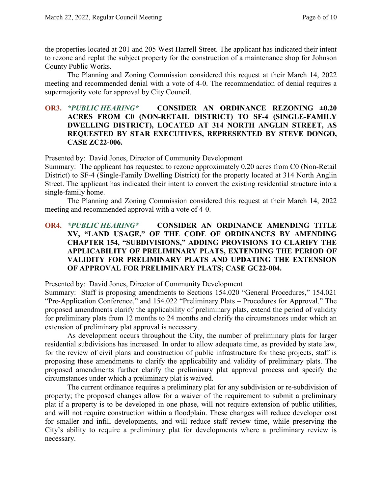the properties located at 201 and 205 West Harrell Street. The applicant has indicated their intent to rezone and replat the subject property for the construction of a maintenance shop for Johnson County Public Works.

The Planning and Zoning Commission considered this request at their March 14, 2022 meeting and recommended denial with a vote of 4-0. The recommendation of denial requires a supermajority vote for approval by City Council.

### **OR3.** *\*PUBLIC HEARING\** **CONSIDER AN ORDINANCE REZONING ±0.20 ACRES FROM C0 (NON-RETAIL DISTRICT) TO SF-4 (SINGLE-FAMILY DWELLING DISTRICT), LOCATED AT 314 NORTH ANGLIN STREET, AS REQUESTED BY STAR EXECUTIVES, REPRESENTED BY STEVE DONGO, CASE ZC22-006.**

Presented by: David Jones, Director of Community Development

Summary: The applicant has requested to rezone approximately 0.20 acres from C0 (Non-Retail District) to SF-4 (Single-Family Dwelling District) for the property located at 314 North Anglin Street. The applicant has indicated their intent to convert the existing residential structure into a single-family home.

The Planning and Zoning Commission considered this request at their March 14, 2022 meeting and recommended approval with a vote of 4-0.

# **OR4.** *\*PUBLIC HEARING\** **CONSIDER AN ORDINANCE AMENDING TITLE XV, "LAND USAGE," OF THE CODE OF ORDINANCES BY AMENDING CHAPTER 154, "SUBDIVISIONS," ADDING PROVISIONS TO CLARIFY THE APPLICABILITY OF PRELIMINARY PLATS, EXTENDING THE PERIOD OF VALIDITY FOR PRELIMINARY PLATS AND UPDATING THE EXTENSION OF APPROVAL FOR PRELIMINARY PLATS; CASE GC22-004.**

Presented by: David Jones, Director of Community Development

Summary: Staff is proposing amendments to Sections 154.020 "General Procedures," 154.021 "Pre-Application Conference," and 154.022 "Preliminary Plats – Procedures for Approval." The proposed amendments clarify the applicability of preliminary plats, extend the period of validity for preliminary plats from 12 months to 24 months and clarify the circumstances under which an extension of preliminary plat approval is necessary.

As development occurs throughout the City, the number of preliminary plats for larger residential subdivisions has increased. In order to allow adequate time, as provided by state law, for the review of civil plans and construction of public infrastructure for these projects, staff is proposing these amendments to clarify the applicability and validity of preliminary plats. The proposed amendments further clarify the preliminary plat approval process and specify the circumstances under which a preliminary plat is waived.

The current ordinance requires a preliminary plat for any subdivision or re-subdivision of property; the proposed changes allow for a waiver of the requirement to submit a preliminary plat if a property is to be developed in one phase, will not require extension of public utilities, and will not require construction within a floodplain. These changes will reduce developer cost for smaller and infill developments, and will reduce staff review time, while preserving the City's ability to require a preliminary plat for developments where a preliminary review is necessary.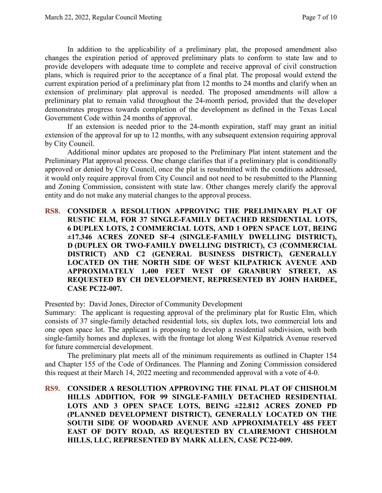In addition to the applicability of a preliminary plat, the proposed amendment also changes the expiration period of approved preliminary plats to conform to state law and to provide developers with adequate time to complete and receive approval of civil construction plans, which is required prior to the acceptance of a final plat. The proposal would extend the current expiration period of a preliminary plat from 12 months to 24 months and clarify when an extension of preliminary plat approval is needed. The proposed amendments will allow a preliminary plat to remain valid throughout the 24-month period, provided that the developer demonstrates progress towards completion of the development as defined in the Texas Local Government Code within 24 months of approval.

If an extension is needed prior to the 24-month expiration, staff may grant an initial extension of the approval for up to 12 months, with any subsequent extension requiring approval by City Council.

Additional minor updates are proposed to the Preliminary Plat intent statement and the Preliminary Plat approval process. One change clarifies that if a preliminary plat is conditionally approved or denied by City Council, once the plat is resubmitted with the conditions addressed, it would only require approval from City Council and not need to be resubmitted to the Planning and Zoning Commission, consistent with state law. Other changes merely clarify the approval entity and do not make any material changes to the approval process.

**RS8. CONSIDER A RESOLUTION APPROVING THE PRELIMINARY PLAT OF RUSTIC ELM, FOR 37 SINGLE-FAMILY DETACHED RESIDENTIAL LOTS, 6 DUPLEX LOTS, 2 COMMERCIAL LOTS, AND 1 OPEN SPACE LOT, BEING ±17.346 ACRES ZONED SF-4 (SINGLE-FAMILY DWELLING DISTRICT), D (DUPLEX OR TWO-FAMILY DWELLING DISTRICT), C3 (COMMERCIAL DISTRICT) AND C2 (GENERAL BUSINESS DISTRICT), GENERALLY LOCATED ON THE NORTH SIDE OF WEST KILPATRICK AVENUE AND APPROXIMATELY 1,400 FEET WEST OF GRANBURY STREET, AS REQUESTED BY CH DEVELOPMENT, REPRESENTED BY JOHN HARDEE, CASE PC22-007.**

Presented by: David Jones, Director of Community Development

Summary: The applicant is requesting approval of the preliminary plat for Rustic Elm, which consists of 37 single-family detached residential lots, six duplex lots, two commercial lots and one open space lot. The applicant is proposing to develop a residential subdivision, with both single-family homes and duplexes, with the frontage lot along West Kilpatrick Avenue reserved for future commercial development.

The preliminary plat meets all of the minimum requirements as outlined in Chapter 154 and Chapter 155 of the Code of Ordinances. The Planning and Zoning Commission considered this request at their March 14, 2022 meeting and recommended approval with a vote of 4-0.

**RS9. CONSIDER A RESOLUTION APPROVING THE FINAL PLAT OF CHISHOLM HILLS ADDITION, FOR 99 SINGLE-FAMILY DETACHED RESIDENTIAL LOTS AND 3 OPEN SPACE LOTS, BEING ±22.812 ACRES ZONED PD (PLANNED DEVELOPMENT DISTRICT), GENERALLY LOCATED ON THE SOUTH SIDE OF WOODARD AVENUE AND APPROXIMATELY 485 FEET EAST OF DOTY ROAD, AS REQUESTED BY CLAIREMONT CHISHOLM HILLS, LLC, REPRESENTED BY MARK ALLEN, CASE PC22-009.**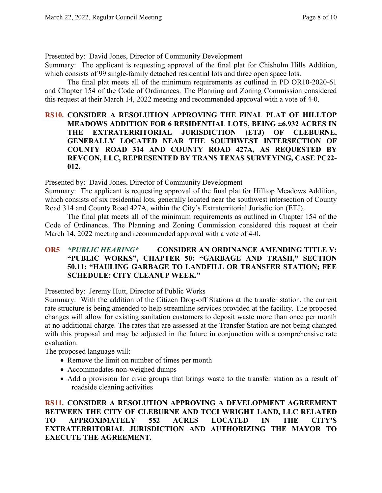Presented by: David Jones, Director of Community Development

Summary: The applicant is requesting approval of the final plat for Chisholm Hills Addition, which consists of 99 single-family detached residential lots and three open space lots.

The final plat meets all of the minimum requirements as outlined in PD OR10-2020-61 and Chapter 154 of the Code of Ordinances. The Planning and Zoning Commission considered this request at their March 14, 2022 meeting and recommended approval with a vote of 4-0.

# **RS10. CONSIDER A RESOLUTION APPROVING THE FINAL PLAT OF HILLTOP MEADOWS ADDITION FOR 6 RESIDENTIAL LOTS, BEING ±6.932 ACRES IN THE EXTRATERRITORIAL JURISDICTION (ETJ) OF CLEBURNE, GENERALLY LOCATED NEAR THE SOUTHWEST INTERSECTION OF COUNTY ROAD 314 AND COUNTY ROAD 427A, AS REQUESTED BY REVCON, LLC, REPRESENTED BY TRANS TEXAS SURVEYING, CASE PC22- 012.**

Presented by: David Jones, Director of Community Development

Summary: The applicant is requesting approval of the final plat for Hilltop Meadows Addition, which consists of six residential lots, generally located near the southwest intersection of County Road 314 and County Road 427A, within the City's Extraterritorial Jurisdiction (ETJ).

The final plat meets all of the minimum requirements as outlined in Chapter 154 of the Code of Ordinances. The Planning and Zoning Commission considered this request at their March 14, 2022 meeting and recommended approval with a vote of 4-0.

# **OR5** *\*PUBLIC HEARING\** **CONSIDER AN ORDINANCE AMENDING TITLE V: "PUBLIC WORKS", CHAPTER 50: "GARBAGE AND TRASH," SECTION 50.11: "HAULING GARBAGE TO LANDFILL OR TRANSFER STATION; FEE SCHEDULE: CITY CLEANUP WEEK."**

Presented by: Jeremy Hutt, Director of Public Works

Summary: With the addition of the Citizen Drop-off Stations at the transfer station, the current rate structure is being amended to help streamline services provided at the facility. The proposed changes will allow for existing sanitation customers to deposit waste more than once per month at no additional charge. The rates that are assessed at the Transfer Station are not being changed with this proposal and may be adjusted in the future in conjunction with a comprehensive rate evaluation.

The proposed language will:

- Remove the limit on number of times per month
- Accommodates non-weighed dumps
- Add a provision for civic groups that brings waste to the transfer station as a result of roadside cleaning activities

**RS11. CONSIDER A RESOLUTION APPROVING A DEVELOPMENT AGREEMENT BETWEEN THE CITY OF CLEBURNE AND TCCI WRIGHT LAND, LLC RELATED TO APPROXIMATELY 552 ACRES LOCATED IN THE CITY'S EXTRATERRITORIAL JURISDICTION AND AUTHORIZING THE MAYOR TO EXECUTE THE AGREEMENT.**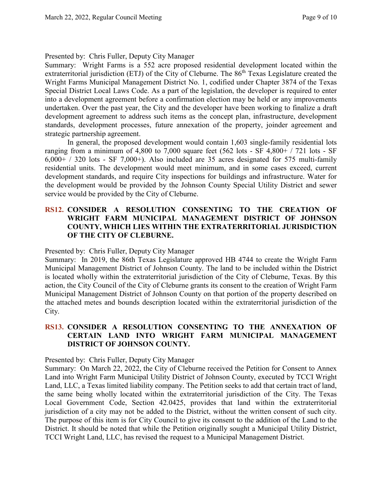#### Presented by: Chris Fuller, Deputy City Manager

Summary: Wright Farms is a 552 acre proposed residential development located within the extraterritorial jurisdiction (ETJ) of the City of Cleburne. The 86<sup>th</sup> Texas Legislature created the Wright Farms Municipal Management District No. 1, codified under Chapter 3874 of the Texas Special District Local Laws Code. As a part of the legislation, the developer is required to enter into a development agreement before a confirmation election may be held or any improvements undertaken. Over the past year, the City and the developer have been working to finalize a draft development agreement to address such items as the concept plan, infrastructure, development standards, development processes, future annexation of the property, joinder agreement and strategic partnership agreement.

In general, the proposed development would contain 1,603 single-family residential lots ranging from a minimum of 4,800 to 7,000 square feet (562 lots - SF 4,800+ / 721 lots - SF  $6,000+$  / 320 lots - SF 7,000+). Also included are 35 acres designated for 575 multi-family residential units. The development would meet minimum, and in some cases exceed, current development standards, and require City inspections for buildings and infrastructure. Water for the development would be provided by the Johnson County Special Utility District and sewer service would be provided by the City of Cleburne.

### **RS12. CONSIDER A RESOLUTION CONSENTING TO THE CREATION OF WRIGHT FARM MUNICIPAL MANAGEMENT DISTRICT OF JOHNSON COUNTY, WHICH LIES WITHIN THE EXTRATERRITORIAL JURISDICTION OF THE CITY OF CLEBURNE.**

#### Presented by: Chris Fuller, Deputy City Manager

Summary: In 2019, the 86th Texas Legislature approved HB 4744 to create the Wright Farm Municipal Management District of Johnson County. The land to be included within the District is located wholly within the extraterritorial jurisdiction of the City of Cleburne, Texas. By this action, the City Council of the City of Cleburne grants its consent to the creation of Wright Farm Municipal Management District of Johnson County on that portion of the property described on the attached metes and bounds description located within the extraterritorial jurisdiction of the City.

### **RS13. CONSIDER A RESOLUTION CONSENTING TO THE ANNEXATION OF CERTAIN LAND INTO WRIGHT FARM MUNICIPAL MANAGEMENT DISTRICT OF JOHNSON COUNTY.**

Presented by: Chris Fuller, Deputy City Manager

Summary: On March 22, 2022, the City of Cleburne received the Petition for Consent to Annex Land into Wright Farm Municipal Utility District of Johnson County, executed by TCCI Wright Land, LLC, a Texas limited liability company. The Petition seeks to add that certain tract of land, the same being wholly located within the extraterritorial jurisdiction of the City. The Texas Local Government Code, Section 42.0425, provides that land within the extraterritorial jurisdiction of a city may not be added to the District, without the written consent of such city. The purpose of this item is for City Council to give its consent to the addition of the Land to the District. It should be noted that while the Petition originally sought a Municipal Utility District, TCCI Wright Land, LLC, has revised the request to a Municipal Management District.